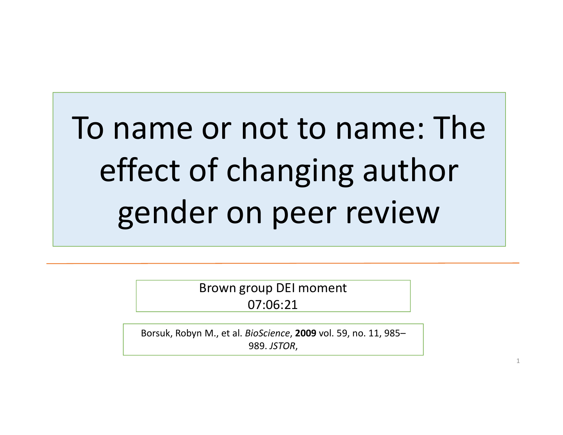# To name or not to name: The effect of changing author gender on peer review

Brown group DEI moment 07:06:21

Borsuk, Robyn M., et al. BioScience, 2009 vol. 59, no. 11, 985– 989. JSTOR,

1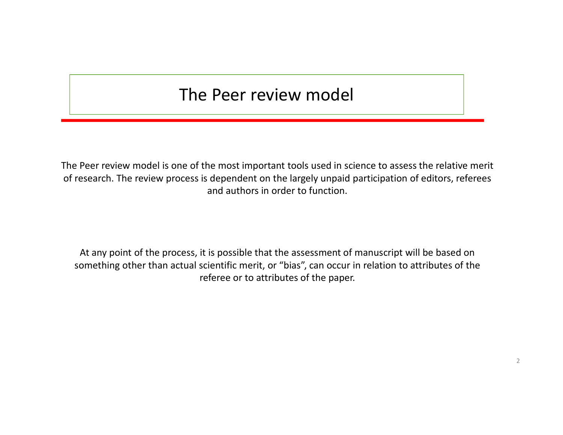#### The Peer review model

The Peer review model is one of the most important tools used in science to assess the relative merit of research. The review process is dependent on the largely unpaid participation of editors, referees and authors in order to function.

At any point of the process, it is possible that the assessment of manuscript will be based on something other than actual scientific merit, or "bias", can occur in relation to attributes of the referee or to attributes of the paper.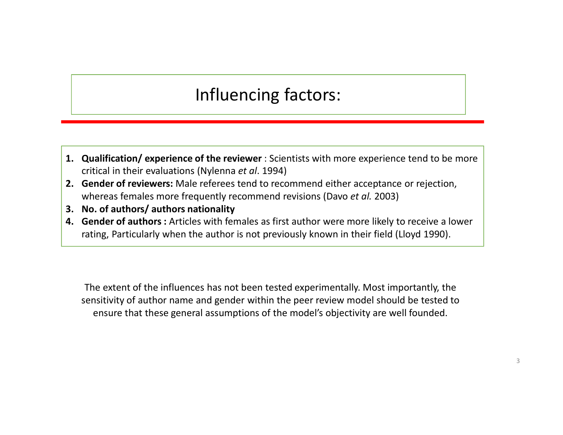#### Influencing factors:

- 1. Qualification/ experience of the reviewer : Scientists with more experience tend to be more critical in their evaluations (Nylenna *et al.* 1994)<br>2. Gender of reviewers: Male referees tend to recommend either acceptance critical in their evaluations (Nylenna et al. 1994) 1. Qualification/experience of the reviewer : Scientists with more experience tend to be more<br>
2. Gender of reviewers: Male referees tend to recommend either acceptance or rejection,<br>
2. Gender of reviewers: Male referees
- whereas females more frequently recommend revisions (Davo et al. 2003)
- 
- Influencing factors:<br>
1. Qualification/experience of the reviewer : Scientists with m<br>
critical in their evaluations (Nylenna *et al.* 1994)<br>
2. Gender of reviewers: Male referees tend to recommend eith<br>
whereas females mo 1. Qualification/experience of the reviewer : Scientists with more experience tend to be more critical in their evaluations (Nylenna et al. 1994)<br>2. Gender of reviewers: Male referees tend to recommend either acceptance or rating, Particularly when the author is not previously known in their field (Lloyd 1990).

The extent of the influences has not been tested experimentally. Most importantly, the sensitivity of author name and gender within the peer review model should be tested to ensure that these general assumptions of the model's objectivity are well founded.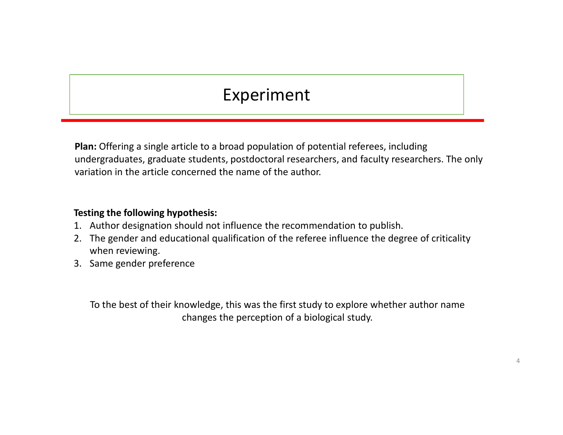# Experiment

Plan: Offering a single article to a broad population of potential referees, including undergraduates, graduate students, postdoctoral researchers, and faculty researchers. The only variation in the article concerned the name of the author. 1. Clear in the single article to a broad population of potential referees, including<br>
1. Author designations, graduate students, postdoctoral researchers, and faculty researchers. The<br>
1. Author designation should not inf **Experiment**<br> **Plan:** Offering a single article to a broad population of potential referees, including<br>
undergraduates, graduate students, postdoctoral researchers, and faculty researchers. The only<br> **Testing the following** Experiment<br> **Experiment**<br> **Plan:** Offering a single article to a broad population of pot<br>
undergraduates, graduate students, postdoctoral research<br>
variation in the article concerned the name of the author.<br> **Testing the f** 

#### Testing the following hypothesis:

- 
- when reviewing.
- 

To the best of their knowledge, this was the first study to explore whether author name changes the perception of a biological study.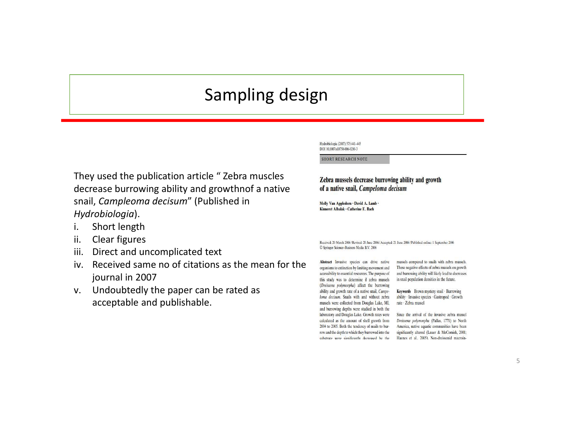#### Sampling design

They used the publication article " Zebra muscles Zebra mussels decrease burrowing ability and growth

decrease burrowing ability and growthnof a native Sampling design<br>
Sampling design<br>
New used the publication article "Zebra muscles<br>
decrease burrowing ability and growthnof a native<br>
snail, *Campleoma decisum"* (Published in<br>
Hydrobiologia).<br>
i. Short length<br>
Elia Clear Hydrobiologia). **Sampling design<br>
They used the publication article " Zebra muscles<br>
decrease burrowing ability and growthnof a native<br>
shail,** *Campleoma decisum***" (Published in<br>
Hydrobiologia).<br>
i. Short length<br>
ii. Clear figures<br>
iii. D Sampling design<br>
They used the publication article " Zebra muscles<br>
decrease burrowing ability and growthnof a native<br>
smail,** *Campleoma decisum***" (Published in<br>
Hydrobiologia).<br>
i. Short length<br>
ii. Clear figures<br>
iii. C Sampling designed**<br> **iii.** They used the publication article "Zebra muscles<br>
decrease burrowing ability and growthnof a native<br>
smail, *Campleoma decisum*" (Published in<br>
ii. Short length<br>
ii. Clear figures<br>
iii. Direct a **interaction of the publication article** "Zebra muscles<br>
decrease burrowing ability and growthnof a native<br>
since the muscle of a mative small, *Campleoma decisum* " (Published in<br>
Hydrobiologia).<br>
i. Short length<br>
ii. Cle They used the publication article " Zebra muscles<br>
decrease burrowing ability and growthnof a native<br>
smail, *Campleoma decisum*" (Published in<br> *Hydrobiologia*).<br>
i. Short length<br>
ii. Clear figures<br>
iii. Direct and uncomp

- 
- 
- 
- journal in 2007
- acceptable and publishable.

mussels compared to snails with zebra mussels. These negative effects of zebra mussels on growth and burrowing ability will likely lead to decreases in snail population densities in the future.

Keywords Brown mystery snail · Burrowing ability · Invasive species · Gastropod · Growth rate · Zebra mussel

Since the arrival of the invasive zebra mussel Dreissena polymorpha (Pallas, 1771) to North America, native aquatic communities have been significantly altered (Lauer & McComish, 2001; Havnes et al., 2005). Non-dreissenid macroin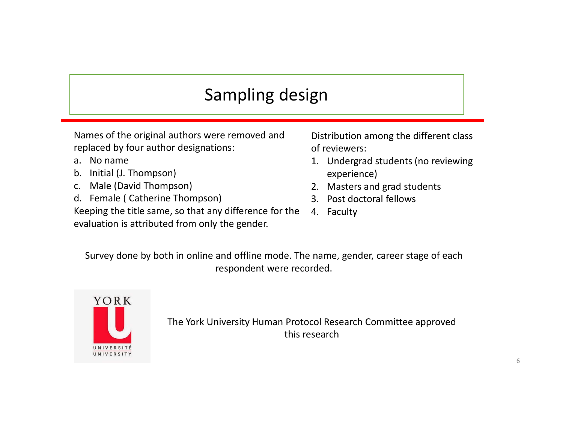# Sampling design

Names of the original authors were removed and replaced by four author designations: **Sampling design<br>
Mames of the original authors were removed and<br>
replaced by four author designations:**<br>
a. No name<br>
b. Initial (J. Thompson)<br>
c. Male (David Thompson)<br>
d. Female (Catherine Thompson)<br>
8.<br>
Reeping the titl **Sampling design<br>
Sampling design<br>
Names of the original authors were removed and<br>
replaced by four author designations: of<br>
a. No name<br>
b. Initial (J. Thompson)<br>
c. Male (David Thompson)<br>
d. Female (Catherine Thompson)<br>
8 Sampling design<br>
Mames of the original authors were removed and**<br> **C.** Male (By four author designations: a. No name<br>
b. Initial (J. Thompson)<br>
c. Male (David Thompson)<br>
d. Female (Catherine Thompson)<br>
8. Keeping the titl **Sampling design<br>
Mames of the original authors were removed and**<br> **Catherine Thompson**)<br> **Catherine Thompson**<br> **Catherine Thompson**<br> **Catherine Thompson**<br> **Catherine Thompson**<br> **Catherine Thompson**<br> **Catherine Thompson**<br>

- 
- 
- 
- 

Keeping the title same, so that any difference for the 4. Faculty evaluation is attributed from only the gender.

Distribution among the different class of reviewers: **gn<br>
1. Undergrad students (no reviewing of reviewers:**<br>
1. Undergrad students (no reviewing experience)<br>
2. Masters and grad students<br>
3. Post doctoral fellows<br>
4. Faculty **Example 18.19 Tangle State State State State State State State State State State State State State State State State State State State State State State State State State State State State State State State State State St Same Scheme Scheme Scheme Scheme Scheme Scheme Scheme Scheme Scheme Scheme Scheme Scheme Scheme Scheme Scheme Scheme Scheme Scheme Scheme Scheme Scheme Scheme Scheme Scheme Scheme Scheme Scheme Scheme Scheme Scheme Scheme gname of the community of the Community of the Community of the Community of the community of the community of the community of the community of the community of the community of the community of the community of the comm** 

- experience)
- 
- 
- 

Survey done by both in online and offline mode. The name, gender, career stage of each respondent were recorded.



The York University Human Protocol Research Committee approved this research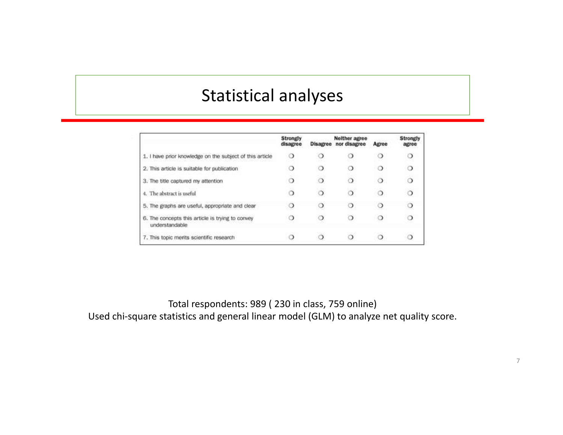#### Statistical analyses

|                                                                    | Strongly<br>disagree |   | Neither agree<br><b>Disagree</b> nor disagree | Agree  | <b>Strongly</b><br>agree |
|--------------------------------------------------------------------|----------------------|---|-----------------------------------------------|--------|--------------------------|
| 1. I have prior knowledge on the subject of this article           | $\circ$              | ා |                                               |        | ◯                        |
| 2. This article is suitable for publication                        |                      | ാ |                                               | $\cup$ | $\circ$                  |
| 3. The title captured my attention                                 | ഠ                    | ు |                                               |        | $\circ$                  |
| 4. The abstract is useful                                          | ు                    |   |                                               |        |                          |
| 5. The graphs are useful, appropriate and clear                    | ◌                    | ⊙ | ാ                                             |        | $\circ$                  |
| 6. The concepts this article is trying to convey<br>understandable | 0                    |   |                                               | റ      |                          |
| 7. This topic merits scientific research                           |                      |   |                                               |        |                          |

Total respondents: 989 ( 230 in class, 759 online) Used chi-square statistics and general linear model (GLM) to analyze net quality score.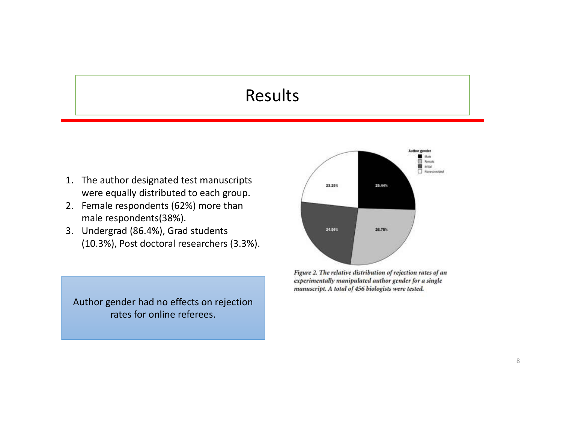#### Results

- Results<br>
Results<br>
1. The author designated test manuscripts<br>
were equally distributed to each group.<br>
2. Female respondents (62%) more than<br>
male respondents (38%).<br>
3. Undergrad (86.4%). Grad students were equally distributed to each group.
- male respondents(38%).
- **Example 18 ACC 12.1 Female respondents (62%)**<br>2. Female respondents (62%) more than<br>2. Female respondents (62%) more than<br>male respondents (38%).<br>3. Undergrad (86.4%), Grad students<br>(10.3%), Post doctoral researchers (3.3 **Example 18.4.1 The author designated test manuscripts**<br>3. Undergrad state in the manuscripts<br>3. Undergrad (86.4%), Grad students<br>3. Undergrad (86.4%), Grad students<br>3. Undergrad (86.4%), Grad students<br>10.3%), Post doctora (10.3%), Post doctoral researchers (3.3%).

Author gender had no effects on rejection rates for online referees.

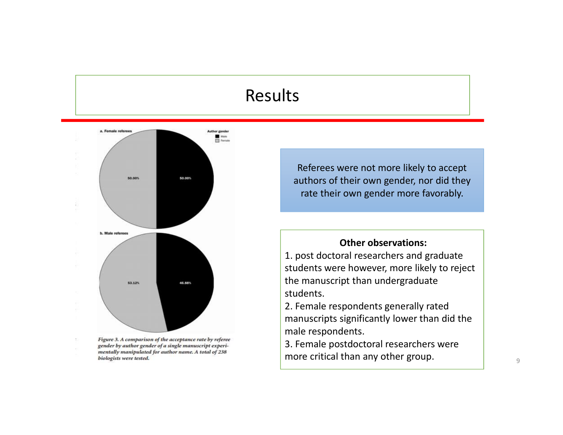#### Results



gender by author gender of a single manuscript experimentally manipulated for author name. A total of 238 biologists were tested.

÷.

Referees were not more likely to accept authors of their own gender, nor did they rate their own gender more favorably.

#### Other observations:

1. post doctoral researchers and graduate students were however, more likely to reject the manuscript than undergraduate students.

2. Female respondents generally rated manuscripts significantly lower than did the male respondents.

3. Female postdoctoral researchers were more critical than any other group.  $\begin{array}{ccc} \hline \end{array}$